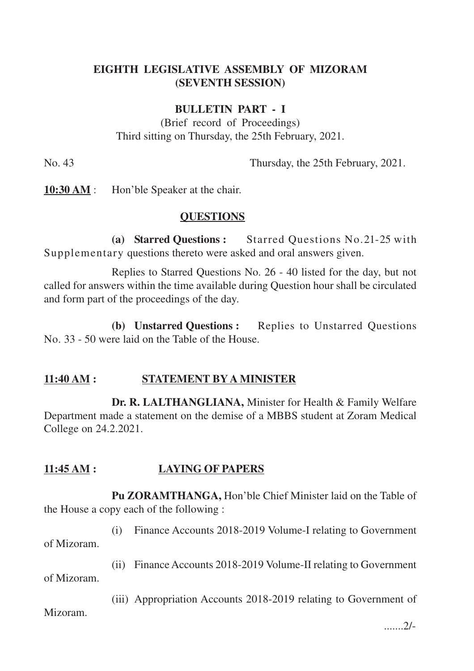## **EIGHTH LEGISLATIVE ASSEMBLY OF MIZORAM (SEVENTH SESSION)**

#### **BULLETIN PART - I**

(Brief record of Proceedings) Third sitting on Thursday, the 25th February, 2021.

No. 43 Thursday, the 25th February, 2021.

**10:30 AM** : Hon'ble Speaker at the chair.

#### **QUESTIONS**

**(a) Starred Questions :** Starred Questions No.21-25 with Supplementary questions thereto were asked and oral answers given.

Replies to Starred Questions No. 26 - 40 listed for the day, but not called for answers within the time available during Question hour shall be circulated and form part of the proceedings of the day.

**(b) Unstarred Questions :** Replies to Unstarred Questions No. 33 - 50 were laid on the Table of the House.

## **11:40 AM : STATEMENT BY A MINISTER**

**Dr. R. LALTHANGLIANA,** Minister for Health & Family Welfare Department made a statement on the demise of a MBBS student at Zoram Medical College on 24.2.2021.

## **11:45 AM : LAYING OF PAPERS**

**Pu ZORAMTHANGA,** Hon'ble Chief Minister laid on the Table of the House a copy each of the following :

(i) Finance Accounts 2018-2019 Volume-I relating to Government of Mizoram.

(ii) Finance Accounts 2018-2019 Volume-II relating to Government

of Mizoram.

(iii) Appropriation Accounts 2018-2019 relating to Government of

Mizoram.

.......2/-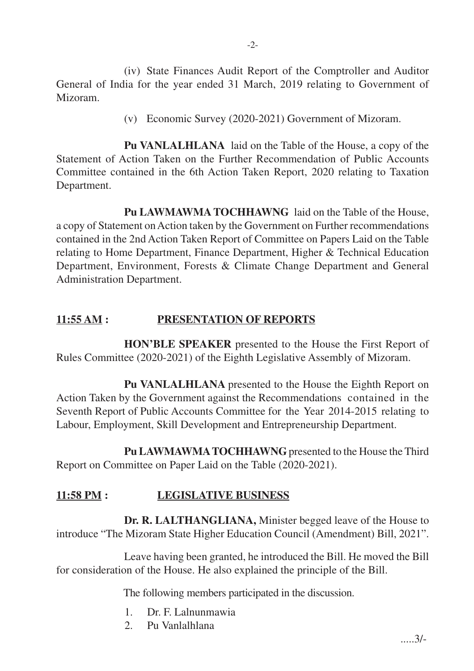(iv) State Finances Audit Report of the Comptroller and Auditor General of India for the year ended 31 March, 2019 relating to Government of Mizoram.

(v) Economic Survey (2020-2021) Government of Mizoram.

**Pu VANLALHLANA** laid on the Table of the House, a copy of the Statement of Action Taken on the Further Recommendation of Public Accounts Committee contained in the 6th Action Taken Report, 2020 relating to Taxation Department.

**Pu LAWMAWMA TOCHHAWNG** laid on the Table of the House, a copy of Statement on Action taken by the Government on Further recommendations contained in the 2nd Action Taken Report of Committee on Papers Laid on the Table relating to Home Department, Finance Department, Higher & Technical Education Department, Environment, Forests & Climate Change Department and General Administration Department.

## **11:55 AM : PRESENTATION OF REPORTS**

**HON'BLE SPEAKER** presented to the House the First Report of Rules Committee (2020-2021) of the Eighth Legislative Assembly of Mizoram.

**Pu VANLALHLANA** presented to the House the Eighth Report on Action Taken by the Government against the Recommendations contained in the Seventh Report of Public Accounts Committee for the Year 2014-2015 relating to Labour, Employment, Skill Development and Entrepreneurship Department.

Pu LAWMAWMA TOCHHAWNG presented to the House the Third Report on Committee on Paper Laid on the Table (2020-2021).

# **11:58 PM : LEGISLATIVE BUSINESS**

**Dr. R. LALTHANGLIANA,** Minister begged leave of the House to introduce "The Mizoram State Higher Education Council (Amendment) Bill, 2021".

Leave having been granted, he introduced the Bill. He moved the Bill for consideration of the House. He also explained the principle of the Bill.

The following members participated in the discussion.

- 1. Dr. F. Lalnunmawia
- 2. Pu Vanlalhlana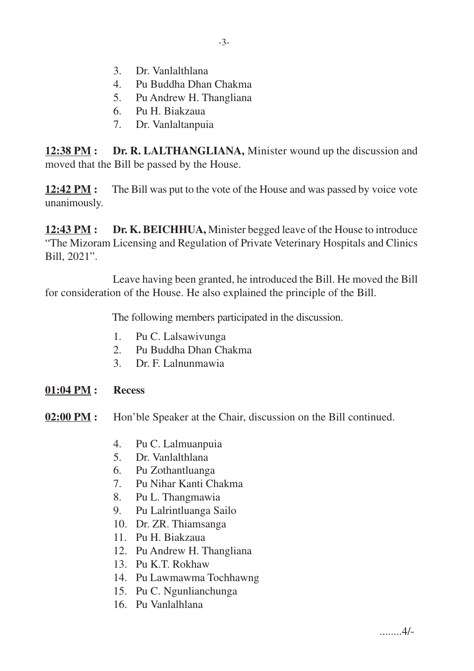- 3. Dr. Vanlalthlana
- 4. Pu Buddha Dhan Chakma
- 5. Pu Andrew H. Thangliana
- 6. Pu H. Biakzaua
- 7. Dr. Vanlaltanpuia

**12:38 PM :** Dr. R. LALTHANGLIANA, Minister wound up the discussion and moved that the Bill be passed by the House.

**12:42 PM :** The Bill was put to the vote of the House and was passed by voice vote unanimously.

**12:43 PM : Dr. K. BEICHHUA,** Minister begged leave of the House to introduce "The Mizoram Licensing and Regulation of Private Veterinary Hospitals and Clinics Bill, 2021".

Leave having been granted, he introduced the Bill. He moved the Bill for consideration of the House. He also explained the principle of the Bill.

The following members participated in the discussion.

- 1. Pu C. Lalsawivunga
- 2. Pu Buddha Dhan Chakma
- 3. Dr. F. Lalnunmawia
- **01:04 PM : Recess**
- **02:00 PM :** Hon'ble Speaker at the Chair, discussion on the Bill continued.
	- 4. Pu C. Lalmuanpuia
	- 5. Dr. Vanlalthlana
	- 6. Pu Zothantluanga
	- 7. Pu Nihar Kanti Chakma
	- 8. Pu L. Thangmawia
	- 9. Pu Lalrintluanga Sailo
	- 10. Dr. ZR. Thiamsanga
	- 11. Pu H. Biakzaua
	- 12. Pu Andrew H. Thangliana
	- 13. Pu K.T. Rokhaw
	- 14. Pu Lawmawma Tochhawng
	- 15. Pu C. Ngunlianchunga
	- 16. Pu Vanlalhlana